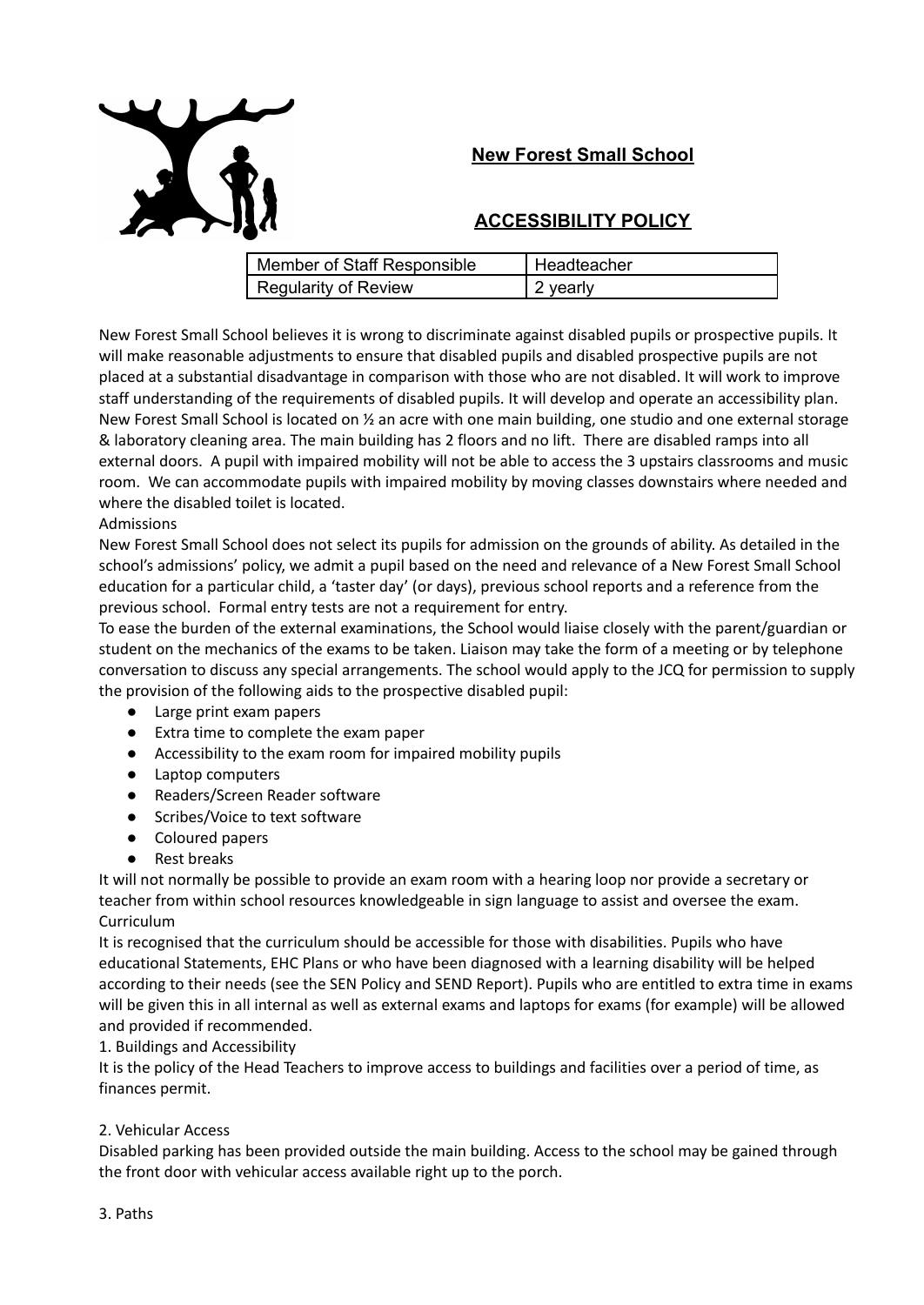# **New Forest Small School**



# **ACCESSIBILITY POLICY**

| Member of Staff Responsible | Headteacher |
|-----------------------------|-------------|
| Regularity of Review        | 2 yearly    |

New Forest Small School believes it is wrong to discriminate against disabled pupils or prospective pupils. It will make reasonable adjustments to ensure that disabled pupils and disabled prospective pupils are not placed at a substantial disadvantage in comparison with those who are not disabled. It will work to improve staff understanding of the requirements of disabled pupils. It will develop and operate an accessibility plan. New Forest Small School is located on ½ an acre with one main building, one studio and one external storage & laboratory cleaning area. The main building has 2 floors and no lift. There are disabled ramps into all external doors. A pupil with impaired mobility will not be able to access the 3 upstairs classrooms and music room. We can accommodate pupils with impaired mobility by moving classes downstairs where needed and where the disabled toilet is located.

#### Admissions

New Forest Small School does not select its pupils for admission on the grounds of ability. As detailed in the school's admissions' policy, we admit a pupil based on the need and relevance of a New Forest Small School education for a particular child, a 'taster day' (or days), previous school reports and a reference from the previous school. Formal entry tests are not a requirement for entry.

To ease the burden of the external examinations, the School would liaise closely with the parent/guardian or student on the mechanics of the exams to be taken. Liaison may take the form of a meeting or by telephone conversation to discuss any special arrangements. The school would apply to the JCQ for permission to supply the provision of the following aids to the prospective disabled pupil:

- Large print exam papers
- Extra time to complete the exam paper
- Accessibility to the exam room for impaired mobility pupils
- Laptop computers
- Readers/Screen Reader software
- Scribes/Voice to text software
- Coloured papers
- Rest breaks

It will not normally be possible to provide an exam room with a hearing loop nor provide a secretary or teacher from within school resources knowledgeable in sign language to assist and oversee the exam. Curriculum

It is recognised that the curriculum should be accessible for those with disabilities. Pupils who have educational Statements, EHC Plans or who have been diagnosed with a learning disability will be helped according to their needs (see the SEN Policy and SEND Report). Pupils who are entitled to extra time in exams will be given this in all internal as well as external exams and laptops for exams (for example) will be allowed and provided if recommended.

# 1. Buildings and Accessibility

It is the policy of the Head Teachers to improve access to buildings and facilities over a period of time, as finances permit.

# 2. Vehicular Access

Disabled parking has been provided outside the main building. Access to the school may be gained through the front door with vehicular access available right up to the porch.